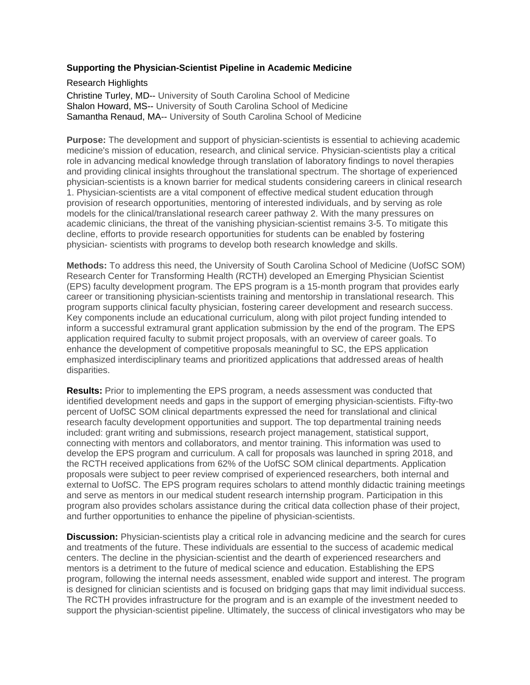## **Supporting the Physician-Scientist Pipeline in Academic Medicine**

Research Highlights

Christine Turley, MD-- University of South Carolina School of Medicine Shalon Howard, MS-- University of South Carolina School of Medicine Samantha Renaud, MA-- University of South Carolina School of Medicine

**Purpose:** The development and support of physician-scientists is essential to achieving academic medicine's mission of education, research, and clinical service. Physician-scientists play a critical role in advancing medical knowledge through translation of laboratory findings to novel therapies and providing clinical insights throughout the translational spectrum. The shortage of experienced physician-scientists is a known barrier for medical students considering careers in clinical research 1. Physician-scientists are a vital component of effective medical student education through provision of research opportunities, mentoring of interested individuals, and by serving as role models for the clinical/translational research career pathway 2. With the many pressures on academic clinicians, the threat of the vanishing physician-scientist remains 3-5. To mitigate this decline, efforts to provide research opportunities for students can be enabled by fostering physician- scientists with programs to develop both research knowledge and skills.

**Methods:** To address this need, the University of South Carolina School of Medicine (UofSC SOM) Research Center for Transforming Health (RCTH) developed an Emerging Physician Scientist (EPS) faculty development program. The EPS program is a 15-month program that provides early career or transitioning physician-scientists training and mentorship in translational research. This program supports clinical faculty physician, fostering career development and research success. Key components include an educational curriculum, along with pilot project funding intended to inform a successful extramural grant application submission by the end of the program. The EPS application required faculty to submit project proposals, with an overview of career goals. To enhance the development of competitive proposals meaningful to SC, the EPS application emphasized interdisciplinary teams and prioritized applications that addressed areas of health disparities.

**Results:** Prior to implementing the EPS program, a needs assessment was conducted that identified development needs and gaps in the support of emerging physician-scientists. Fifty-two percent of UofSC SOM clinical departments expressed the need for translational and clinical research faculty development opportunities and support. The top departmental training needs included: grant writing and submissions, research project management, statistical support, connecting with mentors and collaborators, and mentor training. This information was used to develop the EPS program and curriculum. A call for proposals was launched in spring 2018, and the RCTH received applications from 62% of the UofSC SOM clinical departments. Application proposals were subject to peer review comprised of experienced researchers, both internal and external to UofSC. The EPS program requires scholars to attend monthly didactic training meetings and serve as mentors in our medical student research internship program. Participation in this program also provides scholars assistance during the critical data collection phase of their project, and further opportunities to enhance the pipeline of physician-scientists.

**Discussion:** Physician-scientists play a critical role in advancing medicine and the search for cures and treatments of the future. These individuals are essential to the success of academic medical centers. The decline in the physician-scientist and the dearth of experienced researchers and mentors is a detriment to the future of medical science and education. Establishing the EPS program, following the internal needs assessment, enabled wide support and interest. The program is designed for clinician scientists and is focused on bridging gaps that may limit individual success. The RCTH provides infrastructure for the program and is an example of the investment needed to support the physician-scientist pipeline. Ultimately, the success of clinical investigators who may be